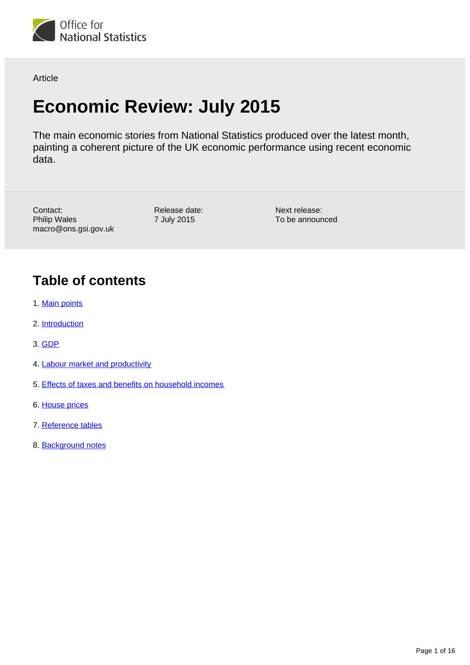

Article

# **Economic Review: July 2015**

The main economic stories from National Statistics produced over the latest month, painting a coherent picture of the UK economic performance using recent economic data.

Contact: Philip Wales macro@ons.gsi.gov.uk Release date: 7 July 2015

Next release: To be announced

## **Table of contents**

- 1. [Main points](#page-1-0)
- 2. [Introduction](#page-1-1)
- 3. [GDP](#page-1-2)
- 4. [Labour market and productivity](#page-4-0)
- 5. [Effects of taxes and benefits on household incomes](#page-5-0)
- 6. [House prices](#page-8-0)
- 7. [Reference tables](#page-13-0)
- 8. [Background notes](#page-15-0)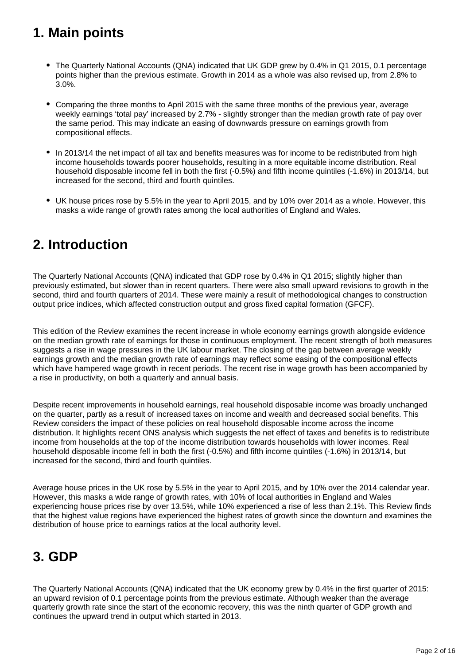## <span id="page-1-0"></span>**1. Main points**

- The Quarterly National Accounts (QNA) indicated that UK GDP grew by 0.4% in Q1 2015, 0.1 percentage points higher than the previous estimate. Growth in 2014 as a whole was also revised up, from 2.8% to 3.0%.
- Comparing the three months to April 2015 with the same three months of the previous year, average weekly earnings 'total pay' increased by 2.7% - slightly stronger than the median growth rate of pay over the same period. This may indicate an easing of downwards pressure on earnings growth from compositional effects.
- In 2013/14 the net impact of all tax and benefits measures was for income to be redistributed from high income households towards poorer households, resulting in a more equitable income distribution. Real household disposable income fell in both the first (-0.5%) and fifth income quintiles (-1.6%) in 2013/14, but increased for the second, third and fourth quintiles.
- UK house prices rose by 5.5% in the year to April 2015, and by 10% over 2014 as a whole. However, this masks a wide range of growth rates among the local authorities of England and Wales.

## <span id="page-1-1"></span>**2. Introduction**

The Quarterly National Accounts (QNA) indicated that GDP rose by 0.4% in Q1 2015; slightly higher than previously estimated, but slower than in recent quarters. There were also small upward revisions to growth in the second, third and fourth quarters of 2014. These were mainly a result of methodological changes to construction output price indices, which affected construction output and gross fixed capital formation (GFCF).

This edition of the Review examines the recent increase in whole economy earnings growth alongside evidence on the median growth rate of earnings for those in continuous employment. The recent strength of both measures suggests a rise in wage pressures in the UK labour market. The closing of the gap between average weekly earnings growth and the median growth rate of earnings may reflect some easing of the compositional effects which have hampered wage growth in recent periods. The recent rise in wage growth has been accompanied by a rise in productivity, on both a quarterly and annual basis.

Despite recent improvements in household earnings, real household disposable income was broadly unchanged on the quarter, partly as a result of increased taxes on income and wealth and decreased social benefits. This Review considers the impact of these policies on real household disposable income across the income distribution. It highlights recent ONS analysis which suggests the net effect of taxes and benefits is to redistribute income from households at the top of the income distribution towards households with lower incomes. Real household disposable income fell in both the first (-0.5%) and fifth income quintiles (-1.6%) in 2013/14, but increased for the second, third and fourth quintiles.

Average house prices in the UK rose by 5.5% in the year to April 2015, and by 10% over the 2014 calendar year. However, this masks a wide range of growth rates, with 10% of local authorities in England and Wales experiencing house prices rise by over 13.5%, while 10% experienced a rise of less than 2.1%. This Review finds that the highest value regions have experienced the highest rates of growth since the downturn and examines the distribution of house price to earnings ratios at the local authority level.

## <span id="page-1-2"></span>**3. GDP**

The Quarterly National Accounts (QNA) indicated that the UK economy grew by 0.4% in the first quarter of 2015: an upward revision of 0.1 percentage points from the previous estimate. Although weaker than the average quarterly growth rate since the start of the economic recovery, this was the ninth quarter of GDP growth and continues the upward trend in output which started in 2013.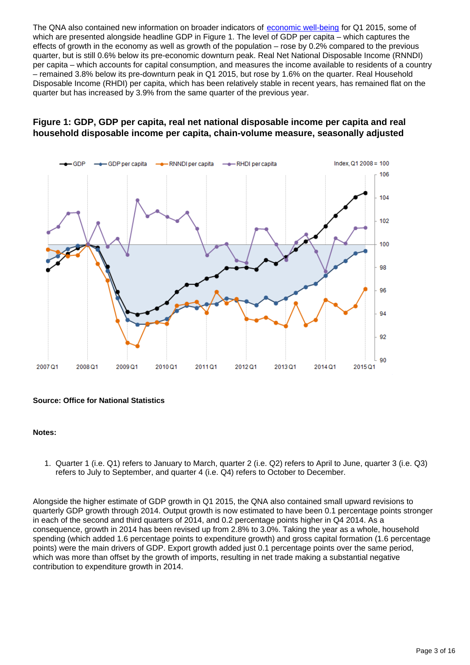The QNA also contained new information on broader indicators of [economic well-being](http://www.ons.gov.uk/ons/rel/naa1-rd/economic-well-being/q1-2015/index.html) for Q1 2015, some of which are presented alongside headline GDP in Figure 1. The level of GDP per capita – which captures the effects of growth in the economy as well as growth of the population – rose by 0.2% compared to the previous quarter, but is still 0.6% below its pre-economic downturn peak. Real Net National Disposable Income (RNNDI) per capita – which accounts for capital consumption, and measures the income available to residents of a country – remained 3.8% below its pre-downturn peak in Q1 2015, but rose by 1.6% on the quarter. Real Household Disposable Income (RHDI) per capita, which has been relatively stable in recent years, has remained flat on the quarter but has increased by 3.9% from the same quarter of the previous year.

### **Figure 1: GDP, GDP per capita, real net national disposable income per capita and real household disposable income per capita, chain-volume measure, seasonally adjusted**



#### **Source: Office for National Statistics**

#### **Notes:**

1. Quarter 1 (i.e. Q1) refers to January to March, quarter 2 (i.e. Q2) refers to April to June, quarter 3 (i.e. Q3) refers to July to September, and quarter 4 (i.e. Q4) refers to October to December.

Alongside the higher estimate of GDP growth in Q1 2015, the QNA also contained small upward revisions to quarterly GDP growth through 2014. Output growth is now estimated to have been 0.1 percentage points stronger in each of the second and third quarters of 2014, and 0.2 percentage points higher in Q4 2014. As a consequence, growth in 2014 has been revised up from 2.8% to 3.0%. Taking the year as a whole, household spending (which added 1.6 percentage points to expenditure growth) and gross capital formation (1.6 percentage points) were the main drivers of GDP. Export growth added just 0.1 percentage points over the same period, which was more than offset by the growth of imports, resulting in net trade making a substantial negative contribution to expenditure growth in 2014.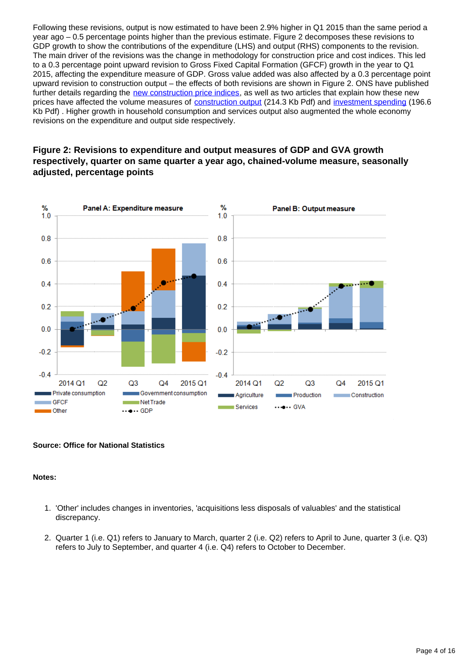Following these revisions, output is now estimated to have been 2.9% higher in Q1 2015 than the same period a year ago – 0.5 percentage points higher than the previous estimate. Figure 2 decomposes these revisions to GDP growth to show the contributions of the expenditure (LHS) and output (RHS) components to the revision. The main driver of the revisions was the change in methodology for construction price and cost indices. This led to a 0.3 percentage point upward revision to Gross Fixed Capital Formation (GFCF) growth in the year to Q1 2015, affecting the expenditure measure of GDP. Gross value added was also affected by a 0.3 percentage point upward revision to construction output – the effects of both revisions are shown in Figure 2. ONS have published further details regarding the [new construction price indices,](http://www.ons.gov.uk/ons/rel/ppi2/construction-output-price-indices--opis-/interim-solution--q1-2015/index.html) as well as two articles that explain how these new prices have affected the volume measures of [construction output](http://www.ons.gov.uk/ons/guide-method/method-quality/specific/business-and-energy/output-in-the-construction-industry/impact-of-interim-solution-for-opis-on-ons-outputs.pdf) (214.3 Kb Pdf) and [investment spending](http://www.ons.gov.uk/ons/guide-method/method-quality/specific/economy/national-accounts/articles/2011-present/changes-to-national-accounts--gross-fixed-capital-formation-and-business-investment---jan-to-mar-2015.pdf) (196.6 Kb Pdf) . Higher growth in household consumption and services output also augmented the whole economy revisions on the expenditure and output side respectively.

### **Figure 2: Revisions to expenditure and output measures of GDP and GVA growth respectively, quarter on same quarter a year ago, chained-volume measure, seasonally adjusted, percentage points**



### **Source: Office for National Statistics**

#### **Notes:**

- 1. 'Other' includes changes in inventories, 'acquisitions less disposals of valuables' and the statistical discrepancy.
- 2. Quarter 1 (i.e. Q1) refers to January to March, quarter 2 (i.e. Q2) refers to April to June, quarter 3 (i.e. Q3) refers to July to September, and quarter 4 (i.e. Q4) refers to October to December.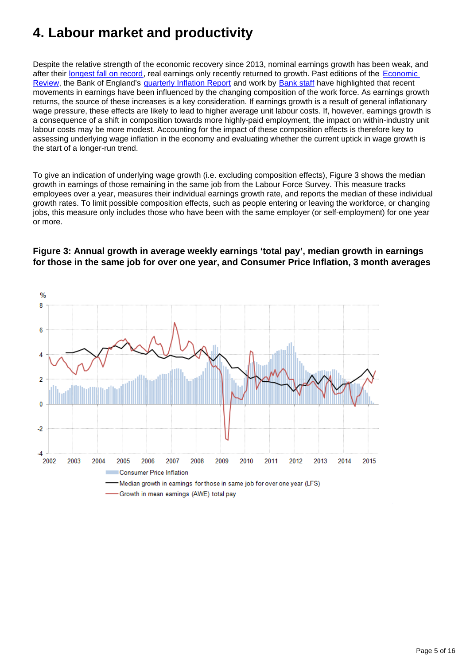## <span id="page-4-0"></span>**4. Labour market and productivity**

Despite the relative strength of the economic recovery since 2013, nominal earnings growth has been weak, and after their [longest fall on record,](http://www.ons.gov.uk/ons/rel/elmr/an-examination-of-falling-real-wages/2010-to-2013/art-an-examination-of-falling-real-wages.html) real earnings only recently returned to growth. Past editions of the **Economic** [Review,](http://www.ons.gov.uk/ons/rel/elmr/economic-review/december-2014/art-dec-er.html#tab-Earnings-growth-and-the-composition-of-the-workforce) the Bank of England's [quarterly Inflation Report](http://www.bankofengland.co.uk/publications/Documents/inflationreport/2015/may3.pdf) and work by [Bank staff](http://bankunderground.co.uk/2015/06/25/skills-matter-the-changing-workforce-and-the-effects-on-pay-and-productivity/) have highlighted that recent movements in earnings have been influenced by the changing composition of the work force. As earnings growth returns, the source of these increases is a key consideration. If earnings growth is a result of general inflationary wage pressure, these effects are likely to lead to higher average unit labour costs. If, however, earnings growth is a consequence of a shift in composition towards more highly-paid employment, the impact on within-industry unit labour costs may be more modest. Accounting for the impact of these composition effects is therefore key to assessing underlying wage inflation in the economy and evaluating whether the current uptick in wage growth is the start of a longer-run trend.

To give an indication of underlying wage growth (i.e. excluding composition effects), Figure 3 shows the median growth in earnings of those remaining in the same job from the Labour Force Survey. This measure tracks employees over a year, measures their individual earnings growth rate, and reports the median of these individual growth rates. To limit possible composition effects, such as people entering or leaving the workforce, or changing jobs, this measure only includes those who have been with the same employer (or self-employment) for one year or more.



## **Figure 3: Annual growth in average weekly earnings 'total pay', median growth in earnings for those in the same job for over one year, and Consumer Price Inflation, 3 month averages**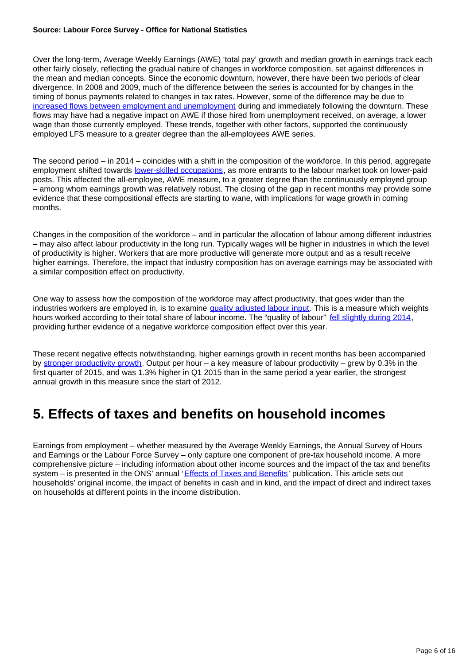#### **Source: Labour Force Survey - Office for National Statistics**

Over the long-term, Average Weekly Earnings (AWE) 'total pay' growth and median growth in earnings track each other fairly closely, reflecting the gradual nature of changes in workforce composition, set against differences in the mean and median concepts. Since the economic downturn, however, there have been two periods of clear divergence. In 2008 and 2009, much of the difference between the series is accounted for by changes in the timing of bonus payments related to changes in tax rates. However, some of the difference may be due to [increased flows between employment and unemployment](http://www.ons.gov.uk/ons/rel/elmr/economic-review/august-2014/art-aug-er.html#tab-Unemployment-flows-data) during and immediately following the downturn. These flows may have had a negative impact on AWE if those hired from unemployment received, on average, a lower wage than those currently employed. These trends, together with other factors, supported the continuously employed LFS measure to a greater degree than the all-employees AWE series.

The second period – in 2014 – coincides with a shift in the composition of the workforce. In this period, aggregate employment shifted towards [lower-skilled occupations,](http://www.ons.gov.uk/ons/rel/elmr/economic-review/december-2014/art-dec-er.html#tab-Earnings-growth-and-the-composition-of-the-workforce) as more entrants to the labour market took on lower-paid posts. This affected the all-employee, AWE measure, to a greater degree than the continuously employed group – among whom earnings growth was relatively robust. The closing of the gap in recent months may provide some evidence that these compositional effects are starting to wane, with implications for wage growth in coming months.

Changes in the composition of the workforce – and in particular the allocation of labour among different industries – may also affect labour productivity in the long run. Typically wages will be higher in industries in which the level of productivity is higher. Workers that are more productive will generate more output and as a result receive higher earnings. Therefore, the impact that industry composition has on average earnings may be associated with a similar composition effect on productivity.

One way to assess how the composition of the workforce may affect productivity, that goes wider than the industries workers are employed in, is to examine [quality adjusted labour input](http://www.ons.gov.uk/ons/rel/icp/quality-adjusted-labour-input--experimental-/estimates-to-2014/index.html). This is a measure which weights hours worked according to their total share of labour income. The "quality of labour" [fell slightly during 2014](http://www.ons.gov.uk/ons/rel/elmr/economic-review/june-2015/art.html#tab-Investment), providing further evidence of a negative workforce composition effect over this year.

These recent negative effects notwithstanding, higher earnings growth in recent months has been accompanied by [stronger productivity growth.](http://www.ons.gov.uk/ons/rel/productivity/labour-productivity/q1-2015/index.html) Output per hour – a key measure of labour productivity – grew by 0.3% in the first quarter of 2015, and was 1.3% higher in Q1 2015 than in the same period a year earlier, the strongest annual growth in this measure since the start of 2012.

## <span id="page-5-0"></span>**5. Effects of taxes and benefits on household incomes**

Earnings from employment – whether measured by the Average Weekly Earnings, the Annual Survey of Hours and Earnings or the Labour Force Survey – only capture one component of pre-tax household income. A more comprehensive picture – including information about other income sources and the impact of the tax and benefits system – is presented in the ONS' annual '[Effects of Taxes and Benefits](http://www.ons.gov.uk/ons/rel/household-income/the-effects-of-taxes-and-benefits-on-household-income/2013-2014/index.html)' publication. This article sets out households' original income, the impact of benefits in cash and in kind, and the impact of direct and indirect taxes on households at different points in the income distribution.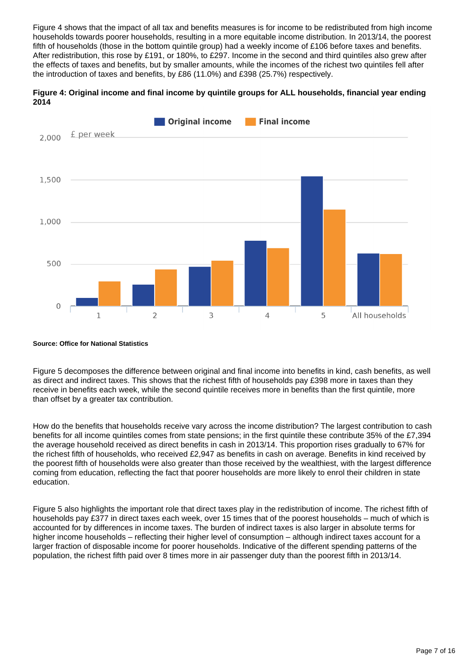Figure 4 shows that the impact of all tax and benefits measures is for income to be redistributed from high income households towards poorer households, resulting in a more equitable income distribution. In 2013/14, the poorest fifth of households (those in the bottom quintile group) had a weekly income of £106 before taxes and benefits. After redistribution, this rose by £191, or 180%, to £297. Income in the second and third quintiles also grew after the effects of taxes and benefits, but by smaller amounts, while the incomes of the richest two quintiles fell after the introduction of taxes and benefits, by £86 (11.0%) and £398 (25.7%) respectively.





#### **Source: Office for National Statistics**

Figure 5 decomposes the difference between original and final income into benefits in kind, cash benefits, as well as direct and indirect taxes. This shows that the richest fifth of households pay £398 more in taxes than they receive in benefits each week, while the second quintile receives more in benefits than the first quintile, more than offset by a greater tax contribution.

How do the benefits that households receive vary across the income distribution? The largest contribution to cash benefits for all income quintiles comes from state pensions; in the first quintile these contribute 35% of the £7,394 the average household received as direct benefits in cash in 2013/14. This proportion rises gradually to 67% for the richest fifth of households, who received £2,947 as benefits in cash on average. Benefits in kind received by the poorest fifth of households were also greater than those received by the wealthiest, with the largest difference coming from education, reflecting the fact that poorer households are more likely to enrol their children in state education.

Figure 5 also highlights the important role that direct taxes play in the redistribution of income. The richest fifth of households pay £377 in direct taxes each week, over 15 times that of the poorest households – much of which is accounted for by differences in income taxes. The burden of indirect taxes is also larger in absolute terms for higher income households – reflecting their higher level of consumption – although indirect taxes account for a larger fraction of disposable income for poorer households. Indicative of the different spending patterns of the population, the richest fifth paid over 8 times more in air passenger duty than the poorest fifth in 2013/14.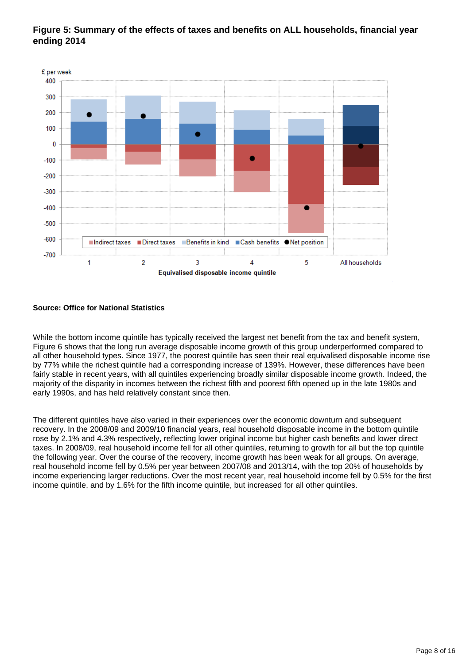

### **Figure 5: Summary of the effects of taxes and benefits on ALL households, financial year ending 2014**

### **Source: Office for National Statistics**

While the bottom income quintile has typically received the largest net benefit from the tax and benefit system, Figure 6 shows that the long run average disposable income growth of this group underperformed compared to all other household types. Since 1977, the poorest quintile has seen their real equivalised disposable income rise by 77% while the richest quintile had a corresponding increase of 139%. However, these differences have been fairly stable in recent years, with all quintiles experiencing broadly similar disposable income growth. Indeed, the majority of the disparity in incomes between the richest fifth and poorest fifth opened up in the late 1980s and early 1990s, and has held relatively constant since then.

The different quintiles have also varied in their experiences over the economic downturn and subsequent recovery. In the 2008/09 and 2009/10 financial years, real household disposable income in the bottom quintile rose by 2.1% and 4.3% respectively, reflecting lower original income but higher cash benefits and lower direct taxes. In 2008/09, real household income fell for all other quintiles, returning to growth for all but the top quintile the following year. Over the course of the recovery, income growth has been weak for all groups. On average, real household income fell by 0.5% per year between 2007/08 and 2013/14, with the top 20% of households by income experiencing larger reductions. Over the most recent year, real household income fell by 0.5% for the first income quintile, and by 1.6% for the fifth income quintile, but increased for all other quintiles.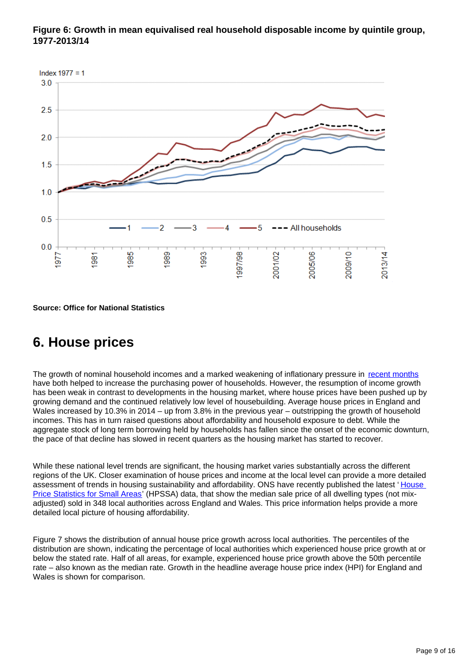



**Source: Office for National Statistics**

## <span id="page-8-0"></span>**6. House prices**

The growth of nominal household incomes and a marked weakening of inflationary pressure in [recent months](http://www.ons.gov.uk/ons/rel/elmr/economic-review/june-2015/art.html#tab--Core-inflation--and-producer-price-indices) have both helped to increase the purchasing power of households. However, the resumption of income growth has been weak in contrast to developments in the housing market, where house prices have been pushed up by growing demand and the continued relatively low level of housebuilding. Average house prices in England and Wales increased by 10.3% in 2014 – up from 3.8% in the previous year – outstripping the growth of household incomes. This has in turn raised questions about affordability and household exposure to debt. While the aggregate stock of long term borrowing held by households has fallen since the onset of the economic downturn, the pace of that decline has slowed in recent quarters as the housing market has started to recover.

While these national level trends are significant, the housing market varies substantially across the different regions of the UK. Closer examination of house prices and income at the local level can provide a more detailed assessment of trends in housing sustainability and affordability. ONS have recently published the latest 'House [Price Statistics for Small Areas](http://www.ons.gov.uk/ons/rel/regional-analysis/house-price-statistics-for-small-areas/1995-2014/index.html)' (HPSSA) data, that show the median sale price of all dwelling types (not mixadjusted) sold in 348 local authorities across England and Wales. This price information helps provide a more detailed local picture of housing affordability.

Figure 7 shows the distribution of annual house price growth across local authorities. The percentiles of the distribution are shown, indicating the percentage of local authorities which experienced house price growth at or below the stated rate. Half of all areas, for example, experienced house price growth above the 50th percentile rate – also known as the median rate. Growth in the headline average house price index (HPI) for England and Wales is shown for comparison.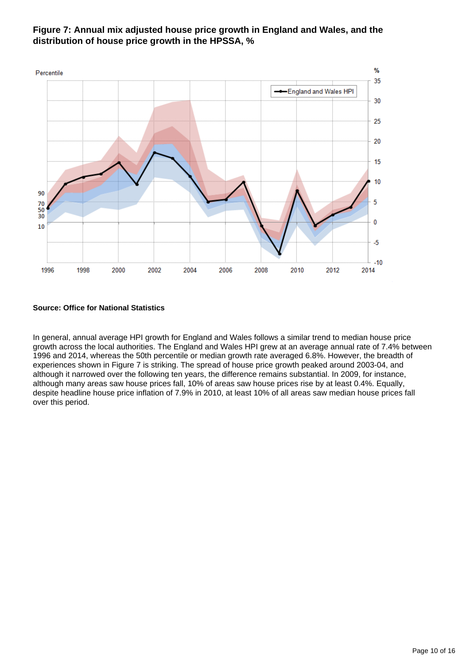

## **Figure 7: Annual mix adjusted house price growth in England and Wales, and the distribution of house price growth in the HPSSA, %**

### **Source: Office for National Statistics**

In general, annual average HPI growth for England and Wales follows a similar trend to median house price growth across the local authorities. The England and Wales HPI grew at an average annual rate of 7.4% between 1996 and 2014, whereas the 50th percentile or median growth rate averaged 6.8%. However, the breadth of experiences shown in Figure 7 is striking. The spread of house price growth peaked around 2003-04, and although it narrowed over the following ten years, the difference remains substantial. In 2009, for instance, although many areas saw house prices fall, 10% of areas saw house prices rise by at least 0.4%. Equally, despite headline house price inflation of 7.9% in 2010, at least 10% of all areas saw median house prices fall over this period.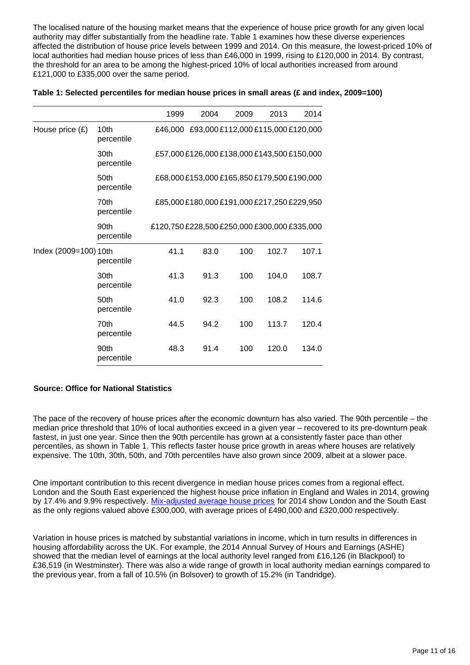The localised nature of the housing market means that the experience of house price growth for any given local authority may differ substantially from the headline rate. Table 1 examines how these diverse experiences affected the distribution of house price levels between 1999 and 2014. On this measure, the lowest-priced 10% of local authorities had median house prices of less than £46,000 in 1999, rising to £120,000 in 2014. By contrast, the threshold for an area to be among the highest-priced 10% of local authorities increased from around £121,000 to £335,000 over the same period.

| Table 1: Selected percentiles for median house prices in small areas (£ and index, 2009=100) |  |  |  |  |  |  |
|----------------------------------------------------------------------------------------------|--|--|--|--|--|--|
|----------------------------------------------------------------------------------------------|--|--|--|--|--|--|

|                       |                    | 1999    | 2004                                         | 2009 | 2013  | 2014  |
|-----------------------|--------------------|---------|----------------------------------------------|------|-------|-------|
| House price $(E)$     | 10th<br>percentile | £46.000 | £93,000 £112,000 £115,000 £120,000           |      |       |       |
|                       | 30th<br>percentile |         | £57,000 £126,000 £138,000 £143,500 £150,000  |      |       |       |
|                       | 50th<br>percentile |         | £68,000 £153,000 £165,850 £179,500 £190,000  |      |       |       |
|                       | 70th<br>percentile |         | £85,000 £180,000 £191,000 £217,250 £229,950  |      |       |       |
|                       | 90th<br>percentile |         | £120,750 £228,500 £250,000 £300,000 £335,000 |      |       |       |
| Index (2009=100) 10th | percentile         | 41.1    | 83.0                                         | 100  | 102.7 | 107.1 |
|                       | 30th<br>percentile | 41.3    | 91.3                                         | 100  | 104.0 | 108.7 |
|                       | 50th<br>percentile | 41.0    | 92.3                                         | 100  | 108.2 | 114.6 |
|                       | 70th<br>percentile | 44.5    | 94.2                                         | 100  | 113.7 | 120.4 |
|                       | 90th<br>percentile | 48.3    | 91.4                                         | 100  | 120.0 | 134.0 |

### **Source: Office for National Statistics**

The pace of the recovery of house prices after the economic downturn has also varied. The 90th percentile – the median price threshold that 10% of local authorities exceed in a given year – recovered to its pre-downturn peak fastest, in just one year. Since then the 90th percentile has grown at a consistently faster pace than other percentiles, as shown in Table 1. This reflects faster house price growth in areas where houses are relatively expensive. The 10th, 30th, 50th, and 70th percentiles have also grown since 2009, albeit at a slower pace.

One important contribution to this recent divergence in median house prices comes from a regional effect. London and the South East experienced the highest house price inflation in England and Wales in 2014, growing by 17.4% and 9.9% respectively. [Mix-adjusted average house prices](http://www.ons.gov.uk/ons/rel/hpi/house-price-index/april-2015/stb-april-2015.html) for 2014 show London and the South East as the only regions valued above £300,000, with average prices of £490,000 and £320,000 respectively.

Variation in house prices is matched by substantial variations in income, which in turn results in differences in housing affordability across the UK. For example, the 2014 Annual Survey of Hours and Earnings (ASHE) showed that the median level of earnings at the local authority level ranged from £16,126 (in Blackpool) to £36,519 (in Westminster). There was also a wide range of growth in local authority median earnings compared to the previous year, from a fall of 10.5% (in Bolsover) to growth of 15.2% (in Tandridge).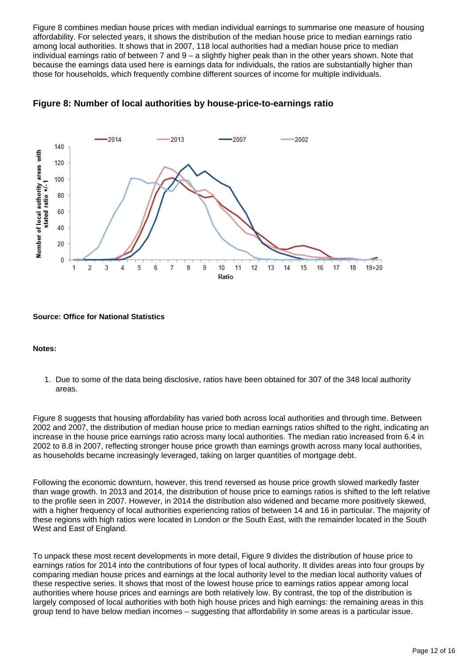Figure 8 combines median house prices with median individual earnings to summarise one measure of housing affordability. For selected years, it shows the distribution of the median house price to median earnings ratio among local authorities. It shows that in 2007, 118 local authorities had a median house price to median individual earnings ratio of between 7 and 9 – a slightly higher peak than in the other years shown. Note that because the earnings data used here is earnings data for individuals, the ratios are substantially higher than those for households, which frequently combine different sources of income for multiple individuals.



**Figure 8: Number of local authorities by house-price-to-earnings ratio**

#### **Source: Office for National Statistics**

#### **Notes:**

1. Due to some of the data being disclosive, ratios have been obtained for 307 of the 348 local authority areas.

Figure 8 suggests that housing affordability has varied both across local authorities and through time. Between 2002 and 2007, the distribution of median house price to median earnings ratios shifted to the right, indicating an increase in the house price earnings ratio across many local authorities. The median ratio increased from 6.4 in 2002 to 8.8 in 2007, reflecting stronger house price growth than earnings growth across many local authorities, as households became increasingly leveraged, taking on larger quantities of mortgage debt.

Following the economic downturn, however, this trend reversed as house price growth slowed markedly faster than wage growth. In 2013 and 2014, the distribution of house price to earnings ratios is shifted to the left relative to the profile seen in 2007. However, in 2014 the distribution also widened and became more positively skewed, with a higher frequency of local authorities experiencing ratios of between 14 and 16 in particular. The majority of these regions with high ratios were located in London or the South East, with the remainder located in the South West and East of England.

To unpack these most recent developments in more detail, Figure 9 divides the distribution of house price to earnings ratios for 2014 into the contributions of four types of local authority. It divides areas into four groups by comparing median house prices and earnings at the local authority level to the median local authority values of these respective series. It shows that most of the lowest house price to earnings ratios appear among local authorities where house prices and earnings are both relatively low. By contrast, the top of the distribution is largely composed of local authorities with both high house prices and high earnings: the remaining areas in this group tend to have below median incomes – suggesting that affordability in some areas is a particular issue.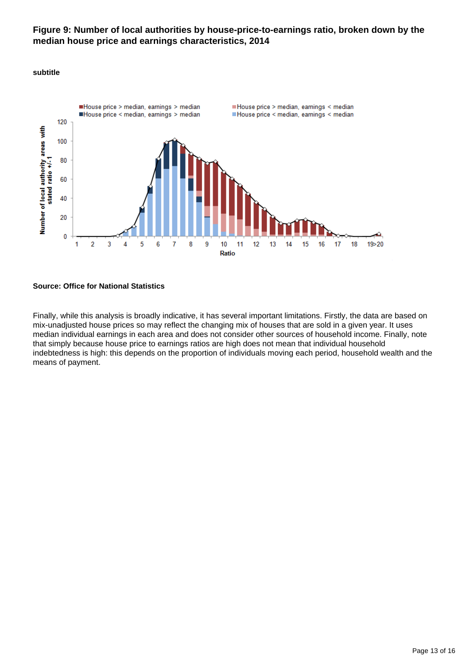## **Figure 9: Number of local authorities by house-price-to-earnings ratio, broken down by the median house price and earnings characteristics, 2014**

**subtitle**



### **Source: Office for National Statistics**

Finally, while this analysis is broadly indicative, it has several important limitations. Firstly, the data are based on mix-unadjusted house prices so may reflect the changing mix of houses that are sold in a given year. It uses median individual earnings in each area and does not consider other sources of household income. Finally, note that simply because house price to earnings ratios are high does not mean that individual household indebtedness is high: this depends on the proportion of individuals moving each period, household wealth and the means of payment.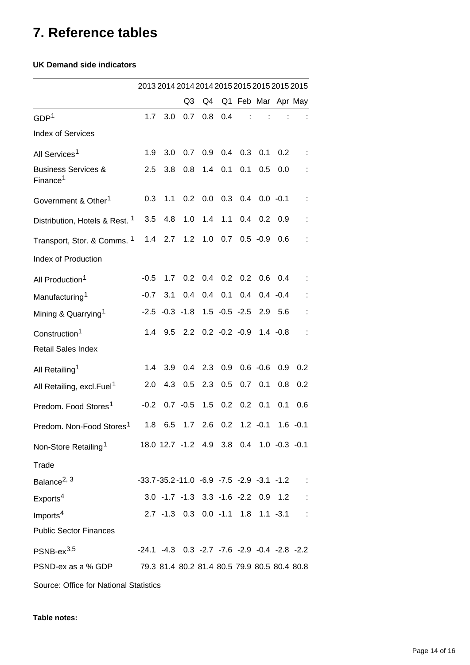## <span id="page-13-0"></span>**7. Reference tables**

#### **UK Demand side indicators**

|                                                        | 2013 2014 2014 2014 2015 2015 2015 2015 2015                 |                                               |             |     |                            |     |                |            |                                          |
|--------------------------------------------------------|--------------------------------------------------------------|-----------------------------------------------|-------------|-----|----------------------------|-----|----------------|------------|------------------------------------------|
|                                                        |                                                              |                                               | Q3          | Q4  |                            |     |                |            | Q1 Feb Mar Apr May                       |
| GDP <sup>1</sup>                                       | 1.7                                                          | 3.0                                           | 0.7         | 0.8 | 0.4                        |     |                |            |                                          |
| <b>Index of Services</b>                               |                                                              |                                               |             |     |                            |     |                |            |                                          |
| All Services <sup>1</sup>                              | 1.9                                                          | 3.0                                           | 0.7         | 0.9 | 0.4                        | 0.3 | 0.1            | 0.2        |                                          |
| <b>Business Services &amp;</b><br>Finance <sup>1</sup> | 2.5                                                          | 3.8                                           | 0.8         | 1.4 | 0.1                        | 0.1 | 0.5            | 0.0        |                                          |
| Government & Other <sup>1</sup>                        | 0.3                                                          | 1.1                                           | 0.2         |     | $0.0 \quad 0.3$            |     | $0.4$ 0.0 -0.1 |            |                                          |
| Distribution, Hotels & Rest. 1                         | 3.5                                                          | 4.8                                           | 1.0         | 1.4 | 1.1                        | 0.4 | 0.2            | 0.9        |                                          |
| Transport, Stor. & Comms. 1                            | 1.4                                                          | 2.7                                           | 1.2         | 1.0 | 0.7                        |     | $0.5 - 0.9$    | 0.6        |                                          |
| Index of Production                                    |                                                              |                                               |             |     |                            |     |                |            |                                          |
| All Production <sup>1</sup>                            | $-0.5$                                                       | 1.7                                           | 0.2         | 0.4 | 0.2                        | 0.2 | 0.6            | 0.4        |                                          |
| Manufacturing <sup>1</sup>                             | $-0.7$                                                       | 3.1                                           | 0.4         | 0.4 | 0.1                        | 0.4 |                | $0.4 -0.4$ |                                          |
| Mining & Quarrying <sup>1</sup>                        |                                                              | $-2.5 -0.3 -1.8$                              |             |     | $1.5 - 0.5 - 2.5$          |     | 2.9            | 5.6        |                                          |
| Construction <sup>1</sup>                              | 1.4                                                          | 9.5                                           |             |     | 2.2 0.2 -0.2 -0.9 1.4 -0.8 |     |                |            |                                          |
| <b>Retail Sales Index</b>                              |                                                              |                                               |             |     |                            |     |                |            |                                          |
| All Retailing <sup>1</sup>                             | 1.4                                                          | 3.9                                           | 0.4         | 2.3 | 0.9 <sub>0</sub>           |     | $0.6 - 0.6$    | 0.9        | 0.2                                      |
| All Retailing, excl.Fuel <sup>1</sup>                  | 2.0                                                          | 4.3                                           | 0.5         | 2.3 | 0.5                        | 0.7 | 0.1            | 0.8        | 0.2                                      |
| Predom. Food Stores <sup>1</sup>                       | $-0.2$                                                       |                                               | $0.7 - 0.5$ | 1.5 | 0.2                        | 0.2 | 0.1            | 0.1        | 0.6                                      |
| Predom. Non-Food Stores <sup>1</sup>                   | 1.8                                                          | 6.5                                           | 1.7         | 2.6 | 0.2                        |     | $1.2 -0.1$     |            | $1.6 - 0.1$                              |
| Non-Store Retailing <sup>1</sup>                       |                                                              |                                               |             |     |                            |     |                |            | 18.0 12.7 -1.2 4.9 3.8 0.4 1.0 -0.3 -0.1 |
| Trade                                                  |                                                              |                                               |             |     |                            |     |                |            |                                          |
| Balance <sup>2, 3</sup>                                | $-33.7 - 35.2 - 11.0 -6.9 -7.5 -2.9 -3.1 -1.2$ :             |                                               |             |     |                            |     |                |            |                                          |
| Exports <sup>4</sup>                                   |                                                              | $3.0 -1.7 -1.3$ $3.3 -1.6 -2.2$ $0.9$ $1.2$ : |             |     |                            |     |                |            |                                          |
| Imports <sup>4</sup>                                   |                                                              | 2.7 -1.3 0.3 0.0 -1.1 1.8 1.1 -3.1 :          |             |     |                            |     |                |            |                                          |
| <b>Public Sector Finances</b>                          |                                                              |                                               |             |     |                            |     |                |            |                                          |
| $PSNB-ex3,5$                                           | $-24.1$ $-4.3$ 0.3 $-2.7$ $-7.6$ $-2.9$ $-0.4$ $-2.8$ $-2.2$ |                                               |             |     |                            |     |                |            |                                          |
| PSND-ex as a % GDP                                     |                                                              | 79.3 81.4 80.2 81.4 80.5 79.9 80.5 80.4 80.8  |             |     |                            |     |                |            |                                          |

Source: Office for National Statistics

**Table notes:**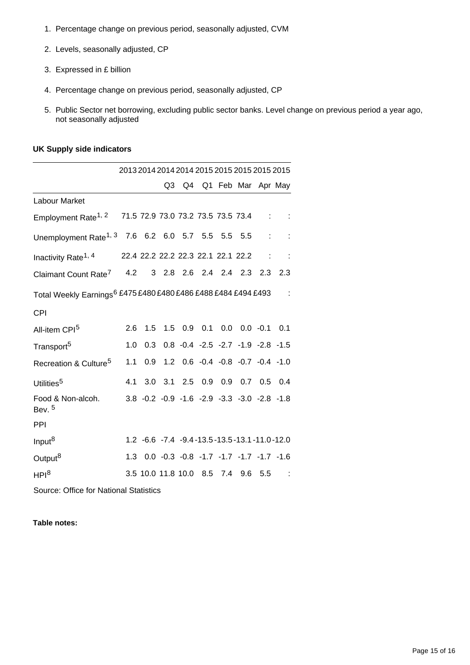- 1. Percentage change on previous period, seasonally adjusted, CVM
- 2. Levels, seasonally adjusted, CP
- 3. Expressed in £ billion
- 4. Percentage change on previous period, seasonally adjusted, CP
- 5. Public Sector net borrowing, excluding public sector banks. Level change on previous period a year ago, not seasonally adjusted

### **UK Supply side indicators**

|                                                                            |     |                  |    |  |                            |  | 2013 2014 2014 2014 2015 2015 2015 2015 2015     |     |                       |
|----------------------------------------------------------------------------|-----|------------------|----|--|----------------------------|--|--------------------------------------------------|-----|-----------------------|
|                                                                            |     |                  | Q3 |  |                            |  |                                                  |     | Q4 Q1 Feb Mar Apr May |
| <b>Labour Market</b>                                                       |     |                  |    |  |                            |  |                                                  |     |                       |
| Employment Rate <sup>1, 2</sup> 71.5 72.9 73.0 73.2 73.5 73.5 73.4         |     |                  |    |  |                            |  |                                                  |     |                       |
| Unemployment Rate <sup>1, 3</sup> 7.6 6.2 6.0 5.7 5.5 5.5 5.5              |     |                  |    |  |                            |  |                                                  |     |                       |
| Inactivity Rate <sup>1, 4</sup>                                            |     |                  |    |  |                            |  | 22.4 22.2 22.2 22.3 22.1 22.1 22.2 :             |     |                       |
| Claimant Count Rate <sup>7</sup> 4.2                                       |     |                  |    |  |                            |  | 3 2.8 2.6 2.4 2.4 2.3 2.3 2.3                    |     |                       |
| Total Weekly Earnings <sup>6</sup> £475 £480 £480 £486 £488 £484 £494 £493 |     |                  |    |  |                            |  |                                                  |     |                       |
| <b>CPI</b>                                                                 |     |                  |    |  |                            |  |                                                  |     |                       |
| All-item CPI <sup>5</sup>                                                  | 2.6 | 1.5              |    |  |                            |  | 1.5 0.9 0.1 0.0 0.0 -0.1 0.1                     |     |                       |
| Transport <sup>5</sup>                                                     | 1.0 | 0.3              |    |  |                            |  | $0.8 -0.4 -2.5 -2.7 -1.9 -2.8 -1.5$              |     |                       |
| Recreation & Culture <sup>5</sup>                                          | 1.1 | 0.9 <sub>0</sub> |    |  |                            |  | 1.2 0.6 -0.4 -0.8 -0.7 -0.4 -1.0                 |     |                       |
| Utilities <sup>5</sup>                                                     | 4.1 |                  |    |  |                            |  | 3.0 3.1 2.5 0.9 0.9 0.7 0.5 0.4                  |     |                       |
| Food & Non-alcoh.<br>Bev. <sup>5</sup>                                     |     |                  |    |  |                            |  | 3.8 -0.2 -0.9 -1.6 -2.9 -3.3 -3.0 -2.8 -1.8      |     |                       |
| PPI                                                                        |     |                  |    |  |                            |  |                                                  |     |                       |
| Input <sup>8</sup>                                                         |     |                  |    |  |                            |  | 1.2 -6.6 -7.4 -9.4 -13.5 -13.5 -13.1 -11.0 -12.0 |     |                       |
| Output <sup>8</sup>                                                        | 1.3 |                  |    |  |                            |  | $0.0 -0.3 -0.8 -1.7 -1.7 -1.7 -1.7 -1.6$         |     |                       |
| HPI <sup>8</sup>                                                           |     |                  |    |  | 3.5 10.0 11.8 10.0 8.5 7.4 |  | 9.6                                              | 5.5 | ÷                     |
| Source: Office for National Statistics                                     |     |                  |    |  |                            |  |                                                  |     |                       |

**Table notes:**